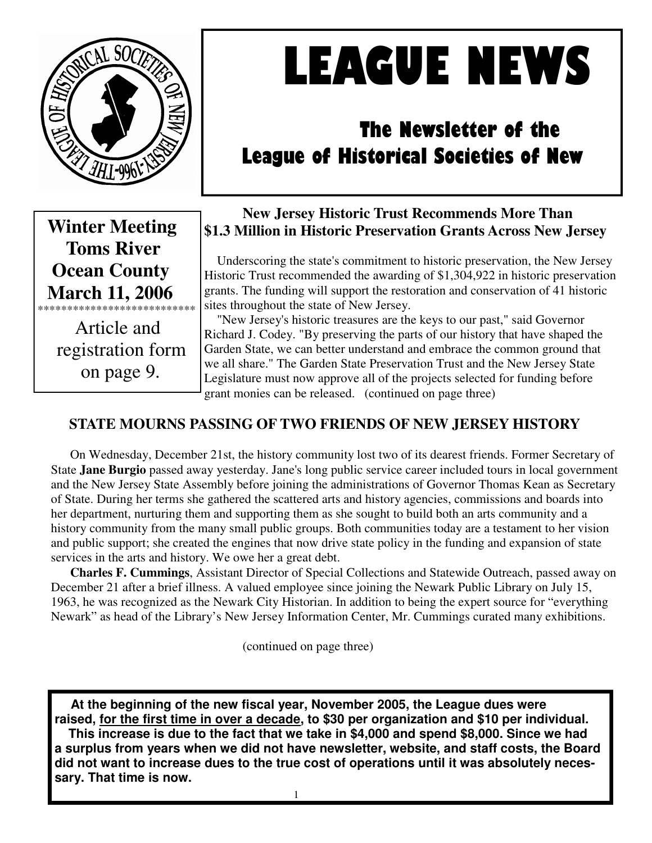

# LEAGUE NEWS

# The Newsletter of the League of Historical Societies of New

 **Winter Meeting Toms River Ocean County March 11, 2006**  \*\*\*\*\*\*\*\*\*\*\*\*\*\*\*\*\*\*\*\*\*\*\*\*\*\*\*

 Article and registration form on page 9.

# **New Jersey Historic Trust Recommends More Than \$1.3 Million in Historic Preservation Grants Across New Jersey**

 Underscoring the state's commitment to historic preservation, the New Jersey Historic Trust recommended the awarding of \$1,304,922 in historic preservation grants. The funding will support the restoration and conservation of 41 historic sites throughout the state of New Jersey.

 "New Jersey's historic treasures are the keys to our past," said Governor Richard J. Codey. "By preserving the parts of our history that have shaped the Garden State, we can better understand and embrace the common ground that we all share." The Garden State Preservation Trust and the New Jersey State Legislature must now approve all of the projects selected for funding before grant monies can be released. (continued on page three)

# **STATE MOURNS PASSING OF TWO FRIENDS OF NEW JERSEY HISTORY**

 On Wednesday, December 21st, the history community lost two of its dearest friends. Former Secretary of State **Jane Burgio** passed away yesterday. Jane's long public service career included tours in local government and the New Jersey State Assembly before joining the administrations of Governor Thomas Kean as Secretary of State. During her terms she gathered the scattered arts and history agencies, commissions and boards into her department, nurturing them and supporting them as she sought to build both an arts community and a history community from the many small public groups. Both communities today are a testament to her vision and public support; she created the engines that now drive state policy in the funding and expansion of state services in the arts and history. We owe her a great debt.

**Charles F. Cummings**, Assistant Director of Special Collections and Statewide Outreach, passed away on December 21 after a brief illness. A valued employee since joining the Newark Public Library on July 15, 1963, he was recognized as the Newark City Historian. In addition to being the expert source for "everything Newark" as head of the Library's New Jersey Information Center, Mr. Cummings curated many exhibitions.

(continued on page three)

 **At the beginning of the new fiscal year, November 2005, the League dues were raised, for the first time in over a decade, to \$30 per organization and \$10 per individual. This increase is due to the fact that we take in \$4,000 and spend \$8,000. Since we had a surplus from years when we did not have newsletter, website, and staff costs, the Board did not want to increase dues to the true cost of operations until it was absolutely necessary. That time is now.**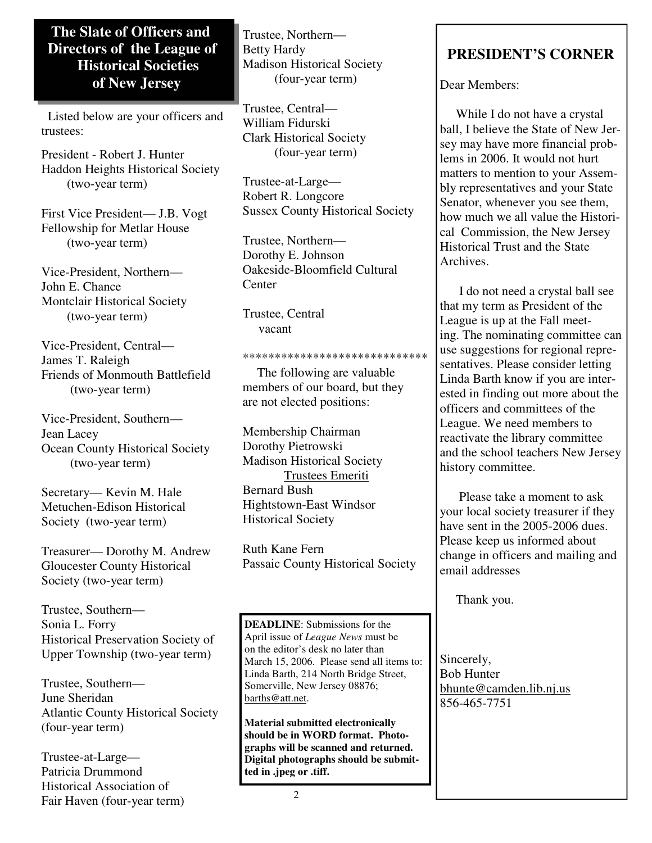## **The Slate of Officers and Directors of the League of Historical Societies of New Jersey**

 Listed below are your officers and trustees:

President - Robert J. Hunter Haddon Heights Historical Society (two-year term)

First Vice President— J.B. Vogt Fellowship for Metlar House (two-year term)

Vice-President, Northern— John E. Chance Montclair Historical Society (two-year term)

Vice-President, Central— James T. Raleigh Friends of Monmouth Battlefield (two-year term)

Vice-President, Southern— Jean Lacey Ocean County Historical Society (two-year term)

Secretary— Kevin M. Hale Metuchen-Edison Historical Society (two-year term)

Treasurer— Dorothy M. Andrew Gloucester County Historical Society (two-year term)

Trustee, Southern— Sonia L. Forry Historical Preservation Society of Upper Township (two-year term)

Trustee, Southern— June Sheridan Atlantic County Historical Society (four-year term)

Trustee-at-Large— Patricia Drummond Historical Association of Fair Haven (four-year term) Trustee, Northern— Betty Hardy Madison Historical Society (four-year term)

Trustee, Central— William Fidurski Clark Historical Society (four-year term)

Trustee-at-Large— Robert R. Longcore Sussex County Historical Society

Trustee, Northern— Dorothy E. Johnson Oakeside-Bloomfield Cultural **C**enter

Trustee, Central vacant

#### \*\*\*\*\*\*\*\*\*\*\*\*\*\*\*\*\*\*\*\*\*\*\*\*\*\*\*\*\*

 The following are valuable members of our board, but they are not elected positions:

Membership Chairman Dorothy Pietrowski Madison Historical Society Trustees Emeriti Bernard Bush Hightstown-East Windsor Historical Society

Ruth Kane Fern Passaic County Historical Society

**DEADLINE**: Submissions for the April issue of *League News* must be on the editor's desk no later than March 15, 2006. Please send all items to: Linda Barth, 214 North Bridge Street, Somerville, New Jersey 08876; barths@att.net.

**Material submitted electronically should be in WORD format. Photographs will be scanned and returned. Digital photographs should be submitted in .jpeg or .tiff.** 

# **PRESIDENT'S CORNER**

Dear Members:

 While I do not have a crystal ball, I believe the State of New Jersey may have more financial problems in 2006. It would not hurt matters to mention to your Assembly representatives and your State Senator, whenever you see them, how much we all value the Historical Commission, the New Jersey Historical Trust and the State Archives.

 I do not need a crystal ball see that my term as President of the League is up at the Fall meeting. The nominating committee can use suggestions for regional representatives. Please consider letting Linda Barth know if you are interested in finding out more about the officers and committees of the League. We need members to reactivate the library committee and the school teachers New Jersey history committee.

 Please take a moment to ask your local society treasurer if they have sent in the 2005-2006 dues. Please keep us informed about change in officers and mailing and email addresses

Thank you.

Sincerely, Bob Hunter bhunte@camden.lib.nj.us 856-465-7751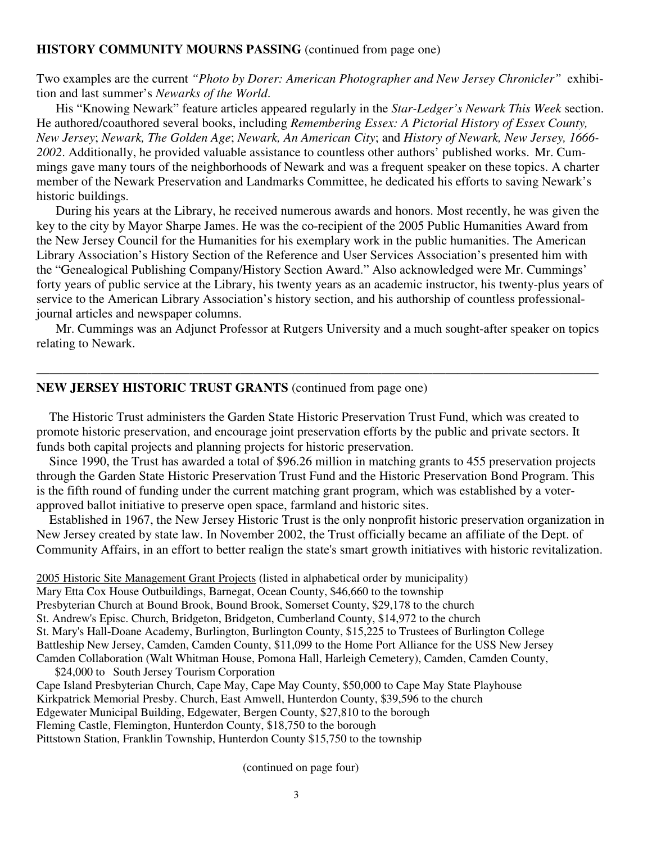#### **HISTORY COMMUNITY MOURNS PASSING** (continued from page one)

Two examples are the current *"Photo by Dorer: American Photographer and New Jersey Chronicler"* exhibition and last summer's *Newarks of the World*.

 His "Knowing Newark" feature articles appeared regularly in the *Star-Ledger's Newark This Week* section. He authored/coauthored several books, including *Remembering Essex: A Pictorial History of Essex County, New Jersey*; *Newark, The Golden Age*; *Newark, An American City*; and *History of Newark, New Jersey, 1666- 2002*. Additionally, he provided valuable assistance to countless other authors' published works. Mr. Cummings gave many tours of the neighborhoods of Newark and was a frequent speaker on these topics. A charter member of the Newark Preservation and Landmarks Committee, he dedicated his efforts to saving Newark's historic buildings.

 During his years at the Library, he received numerous awards and honors. Most recently, he was given the key to the city by Mayor Sharpe James. He was the co-recipient of the 2005 Public Humanities Award from the New Jersey Council for the Humanities for his exemplary work in the public humanities. The American Library Association's History Section of the Reference and User Services Association's presented him with the "Genealogical Publishing Company/History Section Award." Also acknowledged were Mr. Cummings' forty years of public service at the Library, his twenty years as an academic instructor, his twenty-plus years of service to the American Library Association's history section, and his authorship of countless professionaljournal articles and newspaper columns.

 Mr. Cummings was an Adjunct Professor at Rutgers University and a much sought-after speaker on topics relating to Newark.

————————————————————————————————————————————

#### **NEW JERSEY HISTORIC TRUST GRANTS** (continued from page one)

 The Historic Trust administers the Garden State Historic Preservation Trust Fund, which was created to promote historic preservation, and encourage joint preservation efforts by the public and private sectors. It funds both capital projects and planning projects for historic preservation.

 Since 1990, the Trust has awarded a total of \$96.26 million in matching grants to 455 preservation projects through the Garden State Historic Preservation Trust Fund and the Historic Preservation Bond Program. This is the fifth round of funding under the current matching grant program, which was established by a voterapproved ballot initiative to preserve open space, farmland and historic sites.

 Established in 1967, the New Jersey Historic Trust is the only nonprofit historic preservation organization in New Jersey created by state law. In November 2002, the Trust officially became an affiliate of the Dept. of Community Affairs, in an effort to better realign the state's smart growth initiatives with historic revitalization.

2005 Historic Site Management Grant Projects (listed in alphabetical order by municipality) Mary Etta Cox House Outbuildings, Barnegat, Ocean County, \$46,660 to the township Presbyterian Church at Bound Brook, Bound Brook, Somerset County, \$29,178 to the church St. Andrew's Episc. Church, Bridgeton, Bridgeton, Cumberland County, \$14,972 to the church St. Mary's Hall-Doane Academy, Burlington, Burlington County, \$15,225 to Trustees of Burlington College Battleship New Jersey, Camden, Camden County, \$11,099 to the Home Port Alliance for the USS New Jersey Camden Collaboration (Walt Whitman House, Pomona Hall, Harleigh Cemetery), Camden, Camden County,

\$24,000 to South Jersey Tourism Corporation Cape Island Presbyterian Church, Cape May, Cape May County, \$50,000 to Cape May State Playhouse Kirkpatrick Memorial Presby. Church, East Amwell, Hunterdon County, \$39,596 to the church Edgewater Municipal Building, Edgewater, Bergen County, \$27,810 to the borough Fleming Castle, Flemington, Hunterdon County, \$18,750 to the borough Pittstown Station, Franklin Township, Hunterdon County \$15,750 to the township

(continued on page four)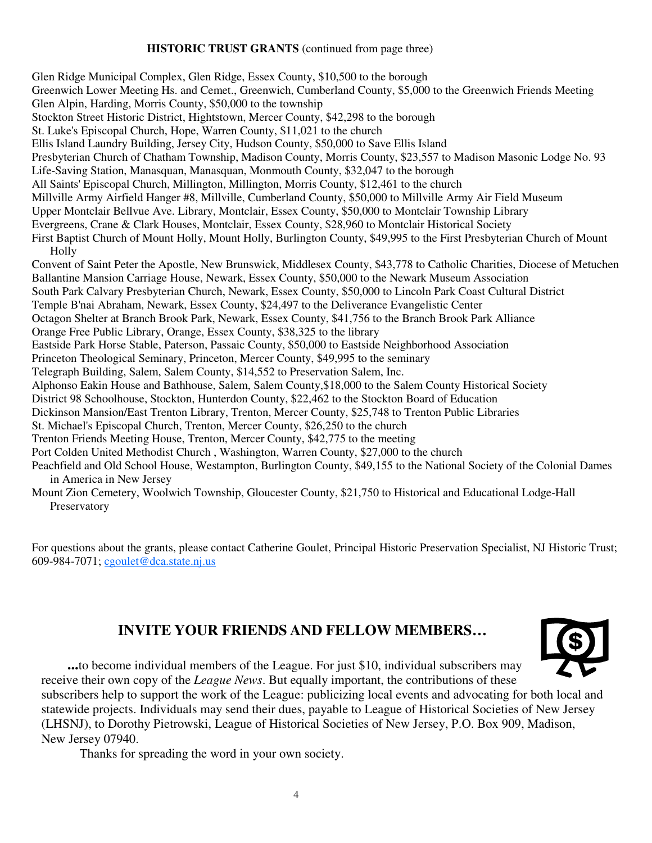#### **HISTORIC TRUST GRANTS** (continued from page three)

Glen Ridge Municipal Complex, Glen Ridge, Essex County, \$10,500 to the borough Greenwich Lower Meeting Hs. and Cemet., Greenwich, Cumberland County, \$5,000 to the Greenwich Friends Meeting Glen Alpin, Harding, Morris County, \$50,000 to the township Stockton Street Historic District, Hightstown, Mercer County, \$42,298 to the borough St. Luke's Episcopal Church, Hope, Warren County, \$11,021 to the church Ellis Island Laundry Building, Jersey City, Hudson County, \$50,000 to Save Ellis Island Presbyterian Church of Chatham Township, Madison County, Morris County, \$23,557 to Madison Masonic Lodge No. 93 Life-Saving Station, Manasquan, Manasquan, Monmouth County, \$32,047 to the borough All Saints' Episcopal Church, Millington, Millington, Morris County, \$12,461 to the church Millville Army Airfield Hanger #8, Millville, Cumberland County, \$50,000 to Millville Army Air Field Museum Upper Montclair Bellvue Ave. Library, Montclair, Essex County, \$50,000 to Montclair Township Library Evergreens, Crane & Clark Houses, Montclair, Essex County, \$28,960 to Montclair Historical Society First Baptist Church of Mount Holly, Mount Holly, Burlington County, \$49,995 to the First Presbyterian Church of Mount Holly Convent of Saint Peter the Apostle, New Brunswick, Middlesex County, \$43,778 to Catholic Charities, Diocese of Metuchen Ballantine Mansion Carriage House, Newark, Essex County, \$50,000 to the Newark Museum Association South Park Calvary Presbyterian Church, Newark, Essex County, \$50,000 to Lincoln Park Coast Cultural District Temple B'nai Abraham, Newark, Essex County, \$24,497 to the Deliverance Evangelistic Center Octagon Shelter at Branch Brook Park, Newark, Essex County, \$41,756 to the Branch Brook Park Alliance Orange Free Public Library, Orange, Essex County, \$38,325 to the library Eastside Park Horse Stable, Paterson, Passaic County, \$50,000 to Eastside Neighborhood Association Princeton Theological Seminary, Princeton, Mercer County, \$49,995 to the seminary Telegraph Building, Salem, Salem County, \$14,552 to Preservation Salem, Inc. Alphonso Eakin House and Bathhouse, Salem, Salem County,\$18,000 to the Salem County Historical Society District 98 Schoolhouse, Stockton, Hunterdon County, \$22,462 to the Stockton Board of Education Dickinson Mansion/East Trenton Library, Trenton, Mercer County, \$25,748 to Trenton Public Libraries St. Michael's Episcopal Church, Trenton, Mercer County, \$26,250 to the church Trenton Friends Meeting House, Trenton, Mercer County, \$42,775 to the meeting Port Colden United Methodist Church , Washington, Warren County, \$27,000 to the church Peachfield and Old School House, Westampton, Burlington County, \$49,155 to the National Society of the Colonial Dames in America in New Jersey Mount Zion Cemetery, Woolwich Township, Gloucester County, \$21,750 to Historical and Educational Lodge-Hall

Preservatory

For questions about the grants, please contact Catherine Goulet, Principal Historic Preservation Specialist, NJ Historic Trust; 609-984-7071; cgoulet@dca.state.nj.us

# **INVITE YOUR FRIENDS AND FELLOW MEMBERS…**



 **...**to become individual members of the League. For just \$10, individual subscribers may receive their own copy of the *League News*. But equally important, the contributions of these

subscribers help to support the work of the League: publicizing local events and advocating for both local and statewide projects. Individuals may send their dues, payable to League of Historical Societies of New Jersey (LHSNJ), to Dorothy Pietrowski, League of Historical Societies of New Jersey, P.O. Box 909, Madison, New Jersey 07940.

Thanks for spreading the word in your own society.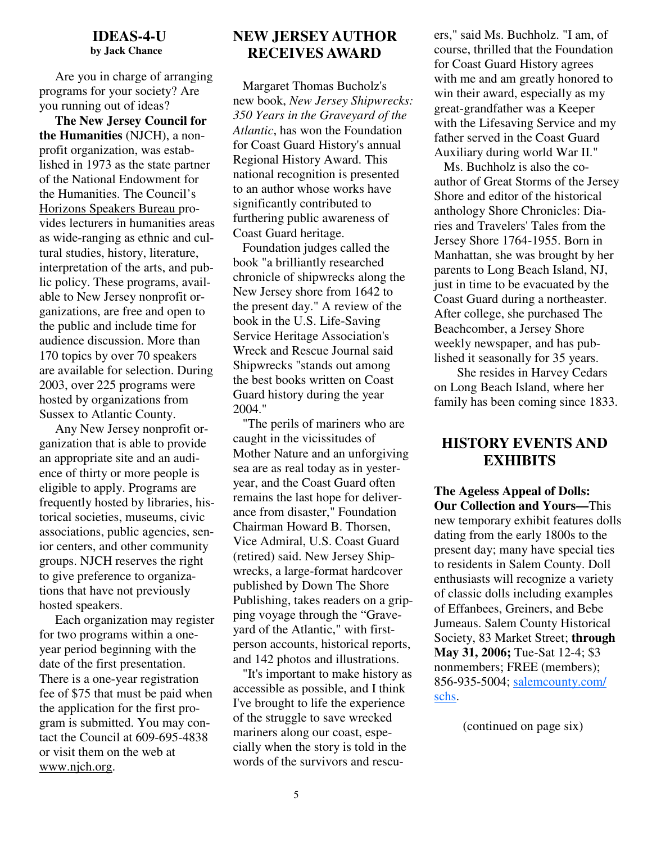#### **IDEAS-4-U by Jack Chance**

 Are you in charge of arranging programs for your society? Are you running out of ideas?

 **The New Jersey Council for the Humanities** (NJCH), a nonprofit organization, was established in 1973 as the state partner of the National Endowment for the Humanities. The Council's Horizons Speakers Bureau provides lecturers in humanities areas as wide-ranging as ethnic and cultural studies, history, literature, interpretation of the arts, and public policy. These programs, available to New Jersey nonprofit organizations, are free and open to the public and include time for audience discussion. More than 170 topics by over 70 speakers are available for selection. During 2003, over 225 programs were hosted by organizations from Sussex to Atlantic County.

 Any New Jersey nonprofit organization that is able to provide an appropriate site and an audience of thirty or more people is eligible to apply. Programs are frequently hosted by libraries, historical societies, museums, civic associations, public agencies, senior centers, and other community groups. NJCH reserves the right to give preference to organizations that have not previously hosted speakers.

 Each organization may register for two programs within a oneyear period beginning with the date of the first presentation. There is a one-year registration fee of \$75 that must be paid when the application for the first program is submitted. You may contact the Council at 609-695-4838 or visit them on the web at www.njch.org.

#### **NEW JERSEY AUTHOR RECEIVES AWARD**

 Margaret Thomas Bucholz's new book, *New Jersey Shipwrecks: 350 Years in the Graveyard of the Atlantic*, has won the Foundation for Coast Guard History's annual Regional History Award. This national recognition is presented to an author whose works have significantly contributed to furthering public awareness of Coast Guard heritage.

 Foundation judges called the book "a brilliantly researched chronicle of shipwrecks along the New Jersey shore from 1642 to the present day." A review of the book in the U.S. Life-Saving Service Heritage Association's Wreck and Rescue Journal said Shipwrecks "stands out among the best books written on Coast Guard history during the year 2004."

 "The perils of mariners who are caught in the vicissitudes of Mother Nature and an unforgiving sea are as real today as in yesteryear, and the Coast Guard often remains the last hope for deliverance from disaster," Foundation Chairman Howard B. Thorsen, Vice Admiral, U.S. Coast Guard (retired) said. New Jersey Shipwrecks, a large-format hardcover published by Down The Shore Publishing, takes readers on a gripping voyage through the "Graveyard of the Atlantic," with firstperson accounts, historical reports, and 142 photos and illustrations.

 "It's important to make history as accessible as possible, and I think I've brought to life the experience of the struggle to save wrecked mariners along our coast, especially when the story is told in the words of the survivors and rescuers," said Ms. Buchholz. "I am, of course, thrilled that the Foundation for Coast Guard History agrees with me and am greatly honored to win their award, especially as my great-grandfather was a Keeper with the Lifesaving Service and my father served in the Coast Guard Auxiliary during world War II."

 Ms. Buchholz is also the coauthor of Great Storms of the Jersey Shore and editor of the historical anthology Shore Chronicles: Diaries and Travelers' Tales from the Jersey Shore 1764-1955. Born in Manhattan, she was brought by her parents to Long Beach Island, NJ, just in time to be evacuated by the Coast Guard during a northeaster. After college, she purchased The Beachcomber, a Jersey Shore weekly newspaper, and has published it seasonally for 35 years.

 She resides in Harvey Cedars on Long Beach Island, where her family has been coming since 1833.

### **HISTORY EVENTS AND EXHIBITS**

**The Ageless Appeal of Dolls: Our Collection and Yours—**This new temporary exhibit features dolls dating from the early 1800s to the present day; many have special ties to residents in Salem County. Doll enthusiasts will recognize a variety of classic dolls including examples of Effanbees, Greiners, and Bebe Jumeaus. Salem County Historical Society, 83 Market Street; **through May 31, 2006;** Tue-Sat 12-4; \$3 nonmembers; FREE (members); 856-935-5004; salemcounty.com/ schs.

(continued on page six)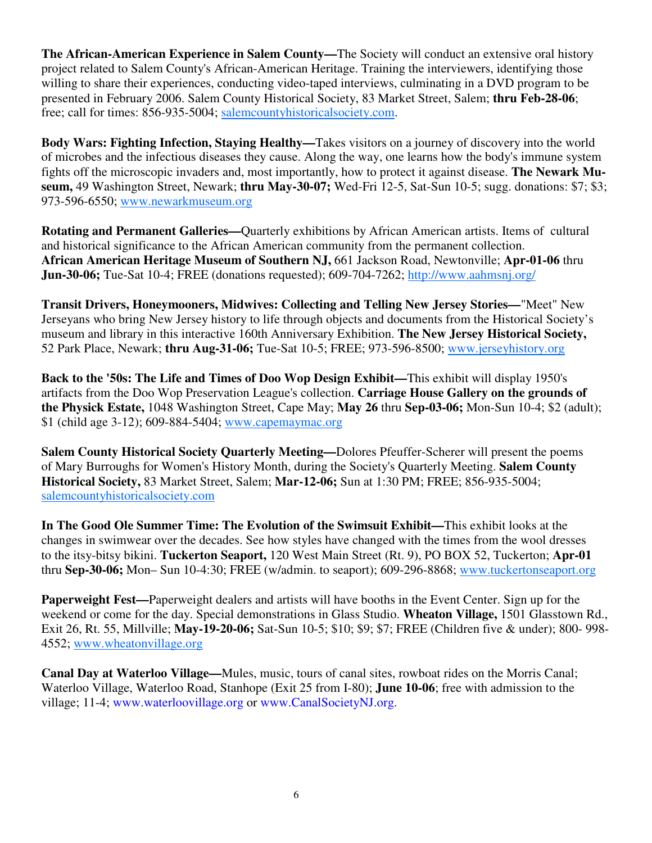**The African-American Experience in Salem County—**The Society will conduct an extensive oral history project related to Salem County's African-American Heritage. Training the interviewers, identifying those willing to share their experiences, conducting video-taped interviews, culminating in a DVD program to be presented in February 2006. Salem County Historical Society, 83 Market Street, Salem; **thru Feb-28-06**; free; call for times: 856-935-5004; salemcountyhistoricalsociety.com.

**Body Wars: Fighting Infection, Staying Healthy—**Takes visitors on a journey of discovery into the world of microbes and the infectious diseases they cause. Along the way, one learns how the body's immune system fights off the microscopic invaders and, most importantly, how to protect it against disease. **The Newark Museum,** 49 Washington Street, Newark; **thru May-30-07;** Wed-Fri 12-5, Sat-Sun 10-5; sugg. donations: \$7; \$3; 973-596-6550; www.newarkmuseum.org

**Rotating and Permanent Galleries—**Quarterly exhibitions by African American artists. Items of cultural and historical significance to the African American community from the permanent collection. **African American Heritage Museum of Southern NJ,** 661 Jackson Road, Newtonville; **Apr-01-06** thru **Jun-30-06;** Tue-Sat 10-4; FREE (donations requested); 609-704-7262; http://www.aahmsnj.org/

**Transit Drivers, Honeymooners, Midwives: Collecting and Telling New Jersey Stories—**"Meet" New Jerseyans who bring New Jersey history to life through objects and documents from the Historical Society's museum and library in this interactive 160th Anniversary Exhibition. **The New Jersey Historical Society,**  52 Park Place, Newark; **thru Aug-31-06;** Tue-Sat 10-5; FREE; 973-596-8500; www.jerseyhistory.org

**Back to the '50s: The Life and Times of Doo Wop Design Exhibit—**This exhibit will display 1950's artifacts from the Doo Wop Preservation League's collection. **Carriage House Gallery on the grounds of the Physick Estate,** 1048 Washington Street, Cape May; **May 26** thru **Sep-03-06;** Mon-Sun 10-4; \$2 (adult); \$1 (child age 3-12); 609-884-5404; www.capemaymac.org

**Salem County Historical Society Quarterly Meeting—**Dolores Pfeuffer-Scherer will present the poems of Mary Burroughs for Women's History Month, during the Society's Quarterly Meeting. **Salem County Historical Society,** 83 Market Street, Salem; **Mar-12-06;** Sun at 1:30 PM; FREE; 856-935-5004; salemcountyhistoricalsociety.com

**In The Good Ole Summer Time: The Evolution of the Swimsuit Exhibit—**This exhibit looks at the changes in swimwear over the decades. See how styles have changed with the times from the wool dresses to the itsy-bitsy bikini. **Tuckerton Seaport,** 120 West Main Street (Rt. 9), PO BOX 52, Tuckerton; **Apr-01** thru **Sep-30-06;** Mon– Sun 10-4:30; FREE (w/admin. to seaport); 609-296-8868; www.tuckertonseaport.org

**Paperweight Fest—**Paperweight dealers and artists will have booths in the Event Center. Sign up for the weekend or come for the day. Special demonstrations in Glass Studio. **Wheaton Village,** 1501 Glasstown Rd., Exit 26, Rt. 55, Millville; **May-19-20-06;** Sat-Sun 10-5; \$10; \$9; \$7; FREE (Children five & under); 800- 998- 4552; www.wheatonvillage.org

**Canal Day at Waterloo Village—**Mules, music, tours of canal sites, rowboat rides on the Morris Canal; Waterloo Village, Waterloo Road, Stanhope (Exit 25 from I-80); **June 10-06**; free with admission to the village; 11-4; www.waterloovillage.org or www.CanalSocietyNJ.org.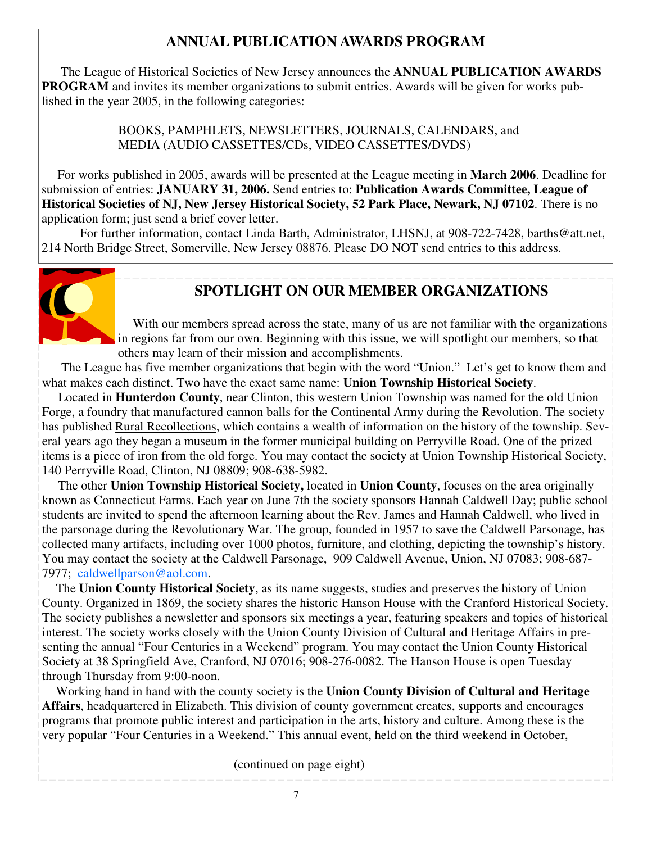# **ANNUAL PUBLICATION AWARDS PROGRAM**

 The League of Historical Societies of New Jersey announces the **ANNUAL PUBLICATION AWARDS PROGRAM** and invites its member organizations to submit entries. Awards will be given for works published in the year 2005, in the following categories:

> BOOKS, PAMPHLETS, NEWSLETTERS, JOURNALS, CALENDARS, and MEDIA (AUDIO CASSETTES/CDs, VIDEO CASSETTES/DVDS)

 For works published in 2005, awards will be presented at the League meeting in **March 2006**. Deadline for submission of entries: **JANUARY 31, 2006.** Send entries to: **Publication Awards Committee, League of Historical Societies of NJ, New Jersey Historical Society, 52 Park Place, Newark, NJ 07102**. There is no application form; just send a brief cover letter.

 For further information, contact Linda Barth, Administrator, LHSNJ, at 908-722-7428, barths@att.net, 214 North Bridge Street, Somerville, New Jersey 08876. Please DO NOT send entries to this address.



# **SPOTLIGHT ON OUR MEMBER ORGANIZATIONS**

With our members spread across the state, many of us are not familiar with the organizations in regions far from our own. Beginning with this issue, we will spotlight our members, so that others may learn of their mission and accomplishments.

 The League has five member organizations that begin with the word "Union." Let's get to know them and what makes each distinct. Two have the exact same name: **Union Township Historical Society**.

 Located in **Hunterdon County**, near Clinton, this western Union Township was named for the old Union Forge, a foundry that manufactured cannon balls for the Continental Army during the Revolution. The society has published Rural Recollections, which contains a wealth of information on the history of the township. Several years ago they began a museum in the former municipal building on Perryville Road. One of the prized items is a piece of iron from the old forge. You may contact the society at Union Township Historical Society, 140 Perryville Road, Clinton, NJ 08809; 908-638-5982.

 The other **Union Township Historical Society,** located in **Union County**, focuses on the area originally known as Connecticut Farms. Each year on June 7th the society sponsors Hannah Caldwell Day; public school students are invited to spend the afternoon learning about the Rev. James and Hannah Caldwell, who lived in the parsonage during the Revolutionary War. The group, founded in 1957 to save the Caldwell Parsonage, has collected many artifacts, including over 1000 photos, furniture, and clothing, depicting the township's history. You may contact the society at the Caldwell Parsonage, 909 Caldwell Avenue, Union, NJ 07083; 908-687- 7977; caldwellparson@aol.com.

 The **Union County Historical Society**, as its name suggests, studies and preserves the history of Union County. Organized in 1869, the society shares the historic Hanson House with the Cranford Historical Society. The society publishes a newsletter and sponsors six meetings a year, featuring speakers and topics of historical interest. The society works closely with the Union County Division of Cultural and Heritage Affairs in presenting the annual "Four Centuries in a Weekend" program. You may contact the Union County Historical Society at 38 Springfield Ave, Cranford, NJ 07016; 908-276-0082. The Hanson House is open Tuesday through Thursday from 9:00-noon.

 Working hand in hand with the county society is the **Union County Division of Cultural and Heritage Affairs**, headquartered in Elizabeth. This division of county government creates, supports and encourages programs that promote public interest and participation in the arts, history and culture. Among these is the very popular "Four Centuries in a Weekend." This annual event, held on the third weekend in October,

(continued on page eight)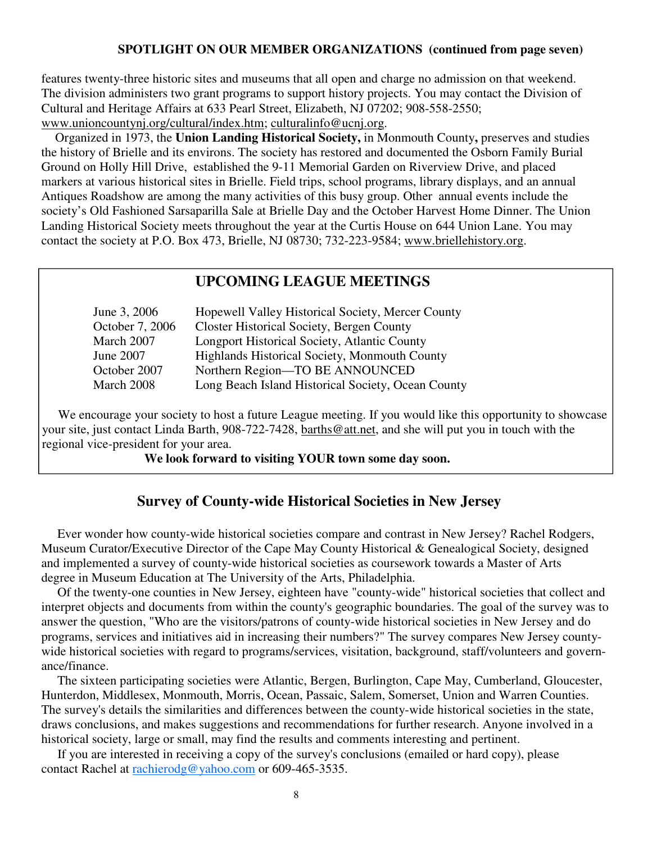#### **SPOTLIGHT ON OUR MEMBER ORGANIZATIONS (continued from page seven)**

features twenty-three historic sites and museums that all open and charge no admission on that weekend. The division administers two grant programs to support history projects. You may contact the Division of Cultural and Heritage Affairs at 633 Pearl Street, Elizabeth, NJ 07202; 908-558-2550; www.unioncountynj.org/cultural/index.htm; culturalinfo@ucnj.org.

 Organized in 1973, the **Union Landing Historical Society,** in Monmouth County**,** preserves and studies the history of Brielle and its environs. The society has restored and documented the Osborn Family Burial Ground on Holly Hill Drive, established the 9-11 Memorial Garden on Riverview Drive, and placed markers at various historical sites in Brielle. Field trips, school programs, library displays, and an annual Antiques Roadshow are among the many activities of this busy group. Other annual events include the society's Old Fashioned Sarsaparilla Sale at Brielle Day and the October Harvest Home Dinner. The Union Landing Historical Society meets throughout the year at the Curtis House on 644 Union Lane. You may contact the society at P.O. Box 473, Brielle, NJ 08730; 732-223-9584; www.briellehistory.org.

### **UPCOMING LEAGUE MEETINGS**

| Hopewell Valley Historical Society, Mercer County  |
|----------------------------------------------------|
| Closter Historical Society, Bergen County          |
| Longport Historical Society, Atlantic County       |
| Highlands Historical Society, Monmouth County      |
| Northern Region-TO BE ANNOUNCED                    |
| Long Beach Island Historical Society, Ocean County |
|                                                    |

We encourage your society to host a future League meeting. If you would like this opportunity to showcase your site, just contact Linda Barth, 908-722-7428, barths@att.net, and she will put you in touch with the regional vice-president for your area.

#### **We look forward to visiting YOUR town some day soon.**

#### **Survey of County-wide Historical Societies in New Jersey**

 Ever wonder how county-wide historical societies compare and contrast in New Jersey? Rachel Rodgers, Museum Curator/Executive Director of the Cape May County Historical & Genealogical Society, designed and implemented a survey of county-wide historical societies as coursework towards a Master of Arts degree in Museum Education at The University of the Arts, Philadelphia.

 Of the twenty-one counties in New Jersey, eighteen have "county-wide" historical societies that collect and interpret objects and documents from within the county's geographic boundaries. The goal of the survey was to answer the question, "Who are the visitors/patrons of county-wide historical societies in New Jersey and do programs, services and initiatives aid in increasing their numbers?" The survey compares New Jersey countywide historical societies with regard to programs/services, visitation, background, staff/volunteers and governance/finance.

 The sixteen participating societies were Atlantic, Bergen, Burlington, Cape May, Cumberland, Gloucester, Hunterdon, Middlesex, Monmouth, Morris, Ocean, Passaic, Salem, Somerset, Union and Warren Counties. The survey's details the similarities and differences between the county-wide historical societies in the state, draws conclusions, and makes suggestions and recommendations for further research. Anyone involved in a historical society, large or small, may find the results and comments interesting and pertinent.

 If you are interested in receiving a copy of the survey's conclusions (emailed or hard copy), please contact Rachel at rachierodg@yahoo.com or 609-465-3535.